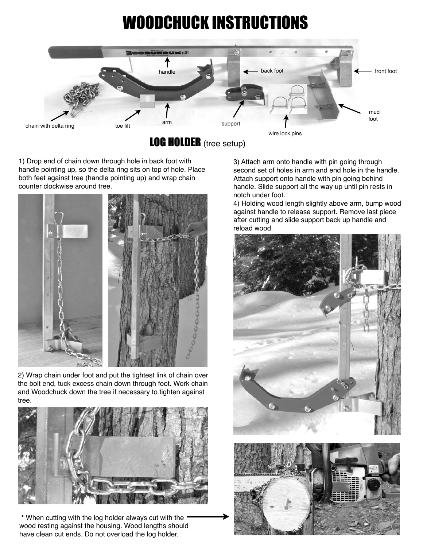## WOODCHUCK INSTRUCTIONS



LOG HOLDER (tree setup)

1) Drop end of chain down through hole in back foot with handle pointing up, so the delta ring sits on top of hole. Place both feet against tree (handle pointing up) and wrap chain counter clockwise around tree.



2) Wrap chain under foot and put the tightest link of chain over the bolt end, tuck excess chain down through foot. Work chain and Woodchuck down the tree if necessary to tighten against tree.



**\*** When cutting with the log holder always cut with the wood resting against the housing. Wood lengths should have clean cut ends. Do not overload the log holder.

3) Attach arm onto handle with pin going through second set of holes in arm and end hole in the handle. Attach support onto handle with pin going behind handle. Slide support all the way up until pin rests in notch under foot.

4) Holding wood length slightly above arm, bump wood against handle to release support. Remove last piece after cutting and slide support back up handle and reload wood.